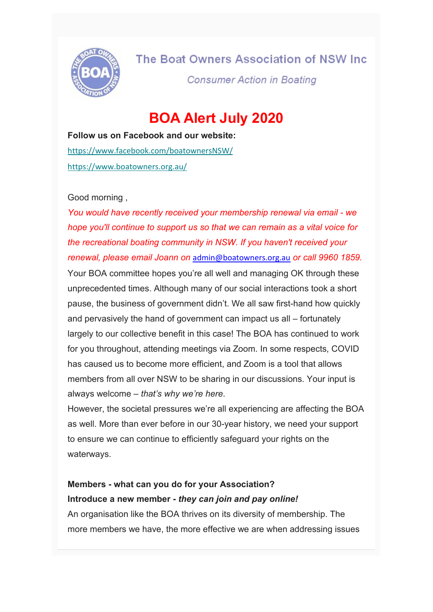

The Boat Owners Association of NSW Inc.

**Consumer Action in Boating** 

# **BOA Alert July 2020**

**Follow us on Facebook and our website:** [https://www.facebook.com/boatownersNSW/](https://oaansw.us7.list-manage.com/track/click?u=8078e0c32a49070244c973faa&id=be1463c767&e=1dbb6495a0) [https://www.boatowners.org.au/](https://oaansw.us7.list-manage.com/track/click?u=8078e0c32a49070244c973faa&id=d664304a00&e=1dbb6495a0)

## Good morning ,

*You would have recently received your membership renewal via email - we hope you'll continue to support us so that we can remain as a vital voice for the recreational boating community in NSW. If you haven't received your renewal, please email Joann on* [admin@boatowners.org.au](mailto:admin@boatowners.org.au) *or call 9960 1859.*

Your BOA committee hopes you're all well and managing OK through these unprecedented times. Although many of our social interactions took a short pause, the business of government didn't. We all saw first-hand how quickly and pervasively the hand of government can impact us all – fortunately largely to our collective benefit in this case! The BOA has continued to work for you throughout, attending meetings via Zoom. In some respects, COVID has caused us to become more efficient, and Zoom is a tool that allows members from all over NSW to be sharing in our discussions. Your input is always welcome – *that's why we're here*.

However, the societal pressures we're all experiencing are affecting the BOA as well. More than ever before in our 30-year history, we need your support to ensure we can continue to efficiently safeguard your rights on the waterways.

# **Members - what can you do for your Association? Introduce a new member -** *they can join and pay online!*

An organisation like the BOA thrives on its diversity of membership. The more members we have, the more effective we are when addressing issues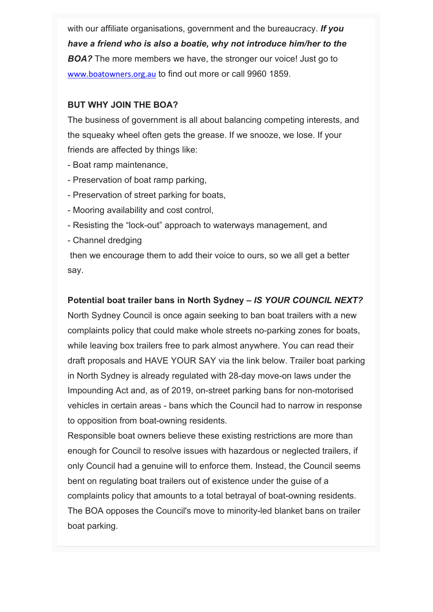with our affiliate organisations, government and the bureaucracy. *If you have a friend who is also a boatie, why not introduce him/her to the*  **BOA?** The more members we have, the stronger our voice! Just go to [www.boatowners.org.au](http://www.boatowners.org.au/) to find out more or call 9960 1859.

# **BUT WHY JOIN THE BOA?**

The business of government is all about balancing competing interests, and the squeaky wheel often gets the grease. If we snooze, we lose. If your friends are affected by things like:

- Boat ramp maintenance,
- Preservation of boat ramp parking,
- Preservation of street parking for boats,
- Mooring availability and cost control,
- Resisting the "lock-out" approach to waterways management, and
- Channel dredging

then we encourage them to add their voice to ours, so we all get a better say.

# **Potential boat trailer bans in North Sydney –** *IS YOUR COUNCIL NEXT?*

North Sydney Council is once again seeking to ban boat trailers with a new complaints policy that could make whole streets no-parking zones for boats, while leaving box trailers free to park almost anywhere. You can read their draft proposals and HAVE YOUR SAY via the link below. Trailer boat parking in North Sydney is already regulated with 28-day move-on laws under the Impounding Act and, as of 2019, on-street parking bans for non-motorised vehicles in certain areas - bans which the Council had to narrow in response to opposition from boat-owning residents.

Responsible boat owners believe these existing restrictions are more than enough for Council to resolve issues with hazardous or neglected trailers, if only Council had a genuine will to enforce them. Instead, the Council seems bent on regulating boat trailers out of existence under the guise of a complaints policy that amounts to a total betrayal of boat-owning residents. The BOA opposes the Council's move to minority-led blanket bans on trailer boat parking.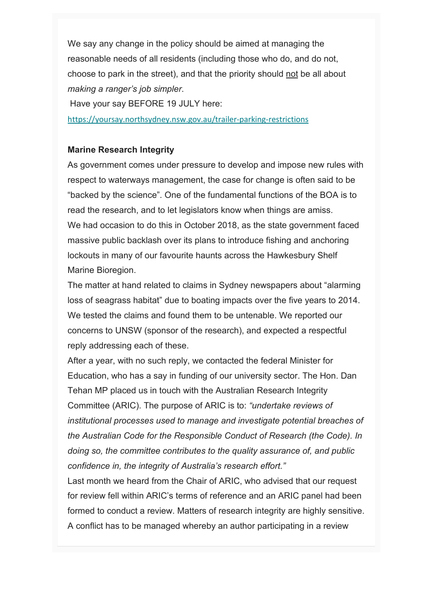We say any change in the policy should be aimed at managing the reasonable needs of all residents (including those who do, and do not, choose to park in the street), and that the priority should not be all about *making a ranger's job simpler*.

Have your say BEFORE 19 JULY here:

[https://yoursay.northsydney.nsw.gov.au/trailer-parking-restrictions](https://oaansw.us7.list-manage.com/track/click?u=8078e0c32a49070244c973faa&id=0eff01f81c&e=1dbb6495a0)

# **Marine Research Integrity**

As government comes under pressure to develop and impose new rules with respect to waterways management, the case for change is often said to be "backed by the science". One of the fundamental functions of the BOA is to read the research, and to let legislators know when things are amiss. We had occasion to do this in October 2018, as the state government faced massive public backlash over its plans to introduce fishing and anchoring lockouts in many of our favourite haunts across the Hawkesbury Shelf Marine Bioregion.

The matter at hand related to claims in Sydney newspapers about "alarming loss of seagrass habitat" due to boating impacts over the five years to 2014. We tested the claims and found them to be untenable. We reported our concerns to UNSW (sponsor of the research), and expected a respectful reply addressing each of these.

After a year, with no such reply, we contacted the federal Minister for Education, who has a say in funding of our university sector. The Hon. Dan Tehan MP placed us in touch with the Australian Research Integrity Committee (ARIC). The purpose of ARIC is to: *"undertake reviews of institutional processes used to manage and investigate potential breaches of the Australian Code for the Responsible Conduct of Research (the Code). In doing so, the committee contributes to the quality assurance of, and public confidence in, the integrity of Australia's research effort."*

Last month we heard from the Chair of ARIC, who advised that our request for review fell within ARIC's terms of reference and an ARIC panel had been formed to conduct a review. Matters of research integrity are highly sensitive. A conflict has to be managed whereby an author participating in a review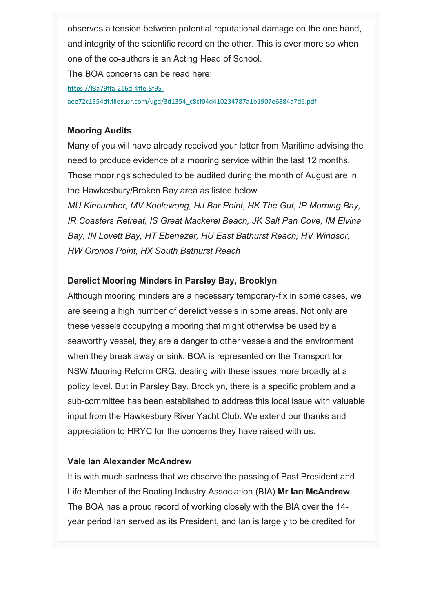observes a tension between potential reputational damage on the one hand, and integrity of the scientific record on the other. This is ever more so when one of the co-authors is an Acting Head of School.

The BOA concerns can be read here:

[https://f3a79ffa-216d-4ffe-8f95-](https://oaansw.us7.list-manage.com/track/click?u=8078e0c32a49070244c973faa&id=9937b9b924&e=1dbb6495a0)

[aee72c1354df.filesusr.com/ugd/3d1354\\_c8cf04d410234787a1b1907e6884a7d6.pdf](https://oaansw.us7.list-manage.com/track/click?u=8078e0c32a49070244c973faa&id=9937b9b924&e=1dbb6495a0)

# **Mooring Audits**

Many of you will have already received your letter from Maritime advising the need to produce evidence of a mooring service within the last 12 months. Those moorings scheduled to be audited during the month of August are in the Hawkesbury/Broken Bay area as listed below.

*MU Kincumber, MV Koolewong, HJ Bar Point, HK The Gut, IP Morning Bay, IR Coasters Retreat, IS Great Mackerel Beach, JK Salt Pan Cove, IM Elvina Bay, IN Lovett Bay, HT Ebenezer, HU East Bathurst Reach, HV Windsor, HW Gronos Point, HX South Bathurst Reach*

## **Derelict Mooring Minders in Parsley Bay, Brooklyn**

Although mooring minders are a necessary temporary-fix in some cases, we are seeing a high number of derelict vessels in some areas. Not only are these vessels occupying a mooring that might otherwise be used by a seaworthy vessel, they are a danger to other vessels and the environment when they break away or sink. BOA is represented on the Transport for NSW Mooring Reform CRG, dealing with these issues more broadly at a policy level. But in Parsley Bay, Brooklyn, there is a specific problem and a sub-committee has been established to address this local issue with valuable input from the Hawkesbury River Yacht Club. We extend our thanks and appreciation to HRYC for the concerns they have raised with us.

## **Vale Ian Alexander McAndrew**

It is with much sadness that we observe the passing of Past President and Life Member of the Boating Industry Association (BIA) **Mr Ian McAndrew**. The BOA has a proud record of working closely with the BIA over the 14 year period Ian served as its President, and Ian is largely to be credited for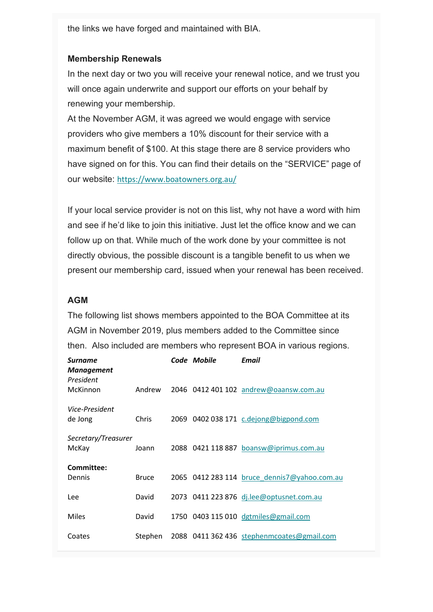the links we have forged and maintained with BIA.

## **Membership Renewals**

In the next day or two you will receive your renewal notice, and we trust you will once again underwrite and support our efforts on your behalf by renewing your membership.

At the November AGM, it was agreed we would engage with service providers who give members a 10% discount for their service with a maximum benefit of \$100. At this stage there are 8 service providers who have signed on for this. You can find their details on the "SERVICE" page of our website: [https://www.boatowners.org.au/](https://oaansw.us7.list-manage.com/track/click?u=8078e0c32a49070244c973faa&id=97fd245ff6&e=1dbb6495a0)

If your local service provider is not on this list, why not have a word with him and see if he'd like to join this initiative. Just let the office know and we can follow up on that. While much of the work done by your committee is not directly obvious, the possible discount is a tangible benefit to us when we present our membership card, issued when your renewal has been received.

#### **AGM**

The following list shows members appointed to the BOA Committee at its AGM in November 2019, plus members added to the Committee since then. Also included are members who represent BOA in various regions.

| Surname<br>Management        |              | Code Mobile | Fmail                                        |
|------------------------------|--------------|-------------|----------------------------------------------|
| President<br>McKinnon        | Andrew       |             | 2046 0412 401 102 andrew@oaansw.com.au       |
| Vice-President<br>de Jong    | Chris        |             | 2069 0402 038 171 c.dejong@bigpond.com       |
| Secretary/Treasurer<br>McKay | Joann        |             | 2088 0421 118 887 boansw@iprimus.com.au      |
| Committee:<br>Dennis         | <b>Bruce</b> |             | 2065 0412 283 114 bruce dennis7@yahoo.com.au |
| Lee                          | David        |             | 2073 0411 223 876 dj.lee@optusnet.com.au     |
| <b>Miles</b>                 | David        |             | 1750 0403 115 010 dgtmiles@gmail.com         |
| Coates                       | Stephen      |             | 2088 0411 362 436 stephenmcoates@gmail.com   |